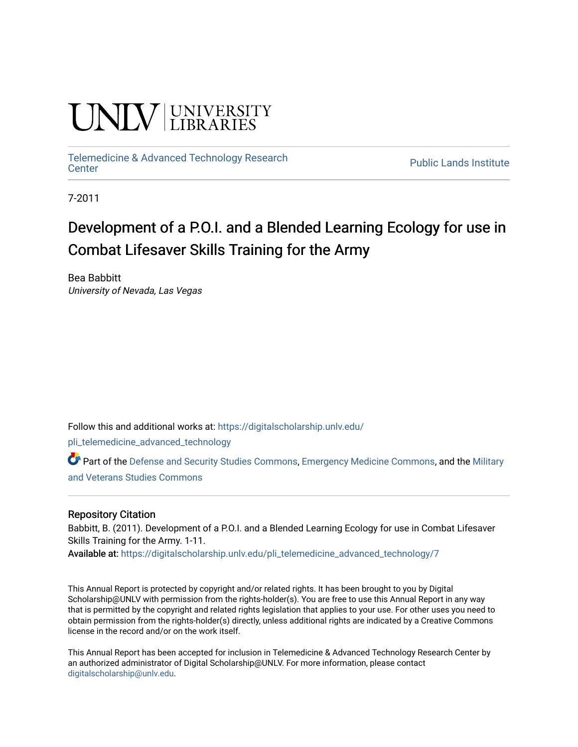# UNIV UNIVERSITY

[Telemedicine & Advanced Technology Research](https://digitalscholarship.unlv.edu/pli_telemedicine_advanced_technology)

**Public Lands Institute** 

7-2011

# Development of a P.O.I. and a Blended Learning Ecology for use in Combat Lifesaver Skills Training for the Army

Bea Babbitt University of Nevada, Las Vegas

Follow this and additional works at: [https://digitalscholarship.unlv.edu/](https://digitalscholarship.unlv.edu/pli_telemedicine_advanced_technology?utm_source=digitalscholarship.unlv.edu%2Fpli_telemedicine_advanced_technology%2F7&utm_medium=PDF&utm_campaign=PDFCoverPages)

[pli\\_telemedicine\\_advanced\\_technology](https://digitalscholarship.unlv.edu/pli_telemedicine_advanced_technology?utm_source=digitalscholarship.unlv.edu%2Fpli_telemedicine_advanced_technology%2F7&utm_medium=PDF&utm_campaign=PDFCoverPages) 

Part of the [Defense and Security Studies Commons](http://network.bepress.com/hgg/discipline/394?utm_source=digitalscholarship.unlv.edu%2Fpli_telemedicine_advanced_technology%2F7&utm_medium=PDF&utm_campaign=PDFCoverPages), [Emergency Medicine Commons,](http://network.bepress.com/hgg/discipline/685?utm_source=digitalscholarship.unlv.edu%2Fpli_telemedicine_advanced_technology%2F7&utm_medium=PDF&utm_campaign=PDFCoverPages) and the [Military](http://network.bepress.com/hgg/discipline/396?utm_source=digitalscholarship.unlv.edu%2Fpli_telemedicine_advanced_technology%2F7&utm_medium=PDF&utm_campaign=PDFCoverPages)  [and Veterans Studies Commons](http://network.bepress.com/hgg/discipline/396?utm_source=digitalscholarship.unlv.edu%2Fpli_telemedicine_advanced_technology%2F7&utm_medium=PDF&utm_campaign=PDFCoverPages) 

#### Repository Citation

Babbitt, B. (2011). Development of a P.O.I. and a Blended Learning Ecology for use in Combat Lifesaver Skills Training for the Army. 1-11.

Available at: [https://digitalscholarship.unlv.edu/pli\\_telemedicine\\_advanced\\_technology/7](https://digitalscholarship.unlv.edu/pli_telemedicine_advanced_technology/7) 

This Annual Report is protected by copyright and/or related rights. It has been brought to you by Digital Scholarship@UNLV with permission from the rights-holder(s). You are free to use this Annual Report in any way that is permitted by the copyright and related rights legislation that applies to your use. For other uses you need to obtain permission from the rights-holder(s) directly, unless additional rights are indicated by a Creative Commons license in the record and/or on the work itself.

This Annual Report has been accepted for inclusion in Telemedicine & Advanced Technology Research Center by an authorized administrator of Digital Scholarship@UNLV. For more information, please contact [digitalscholarship@unlv.edu](mailto:digitalscholarship@unlv.edu).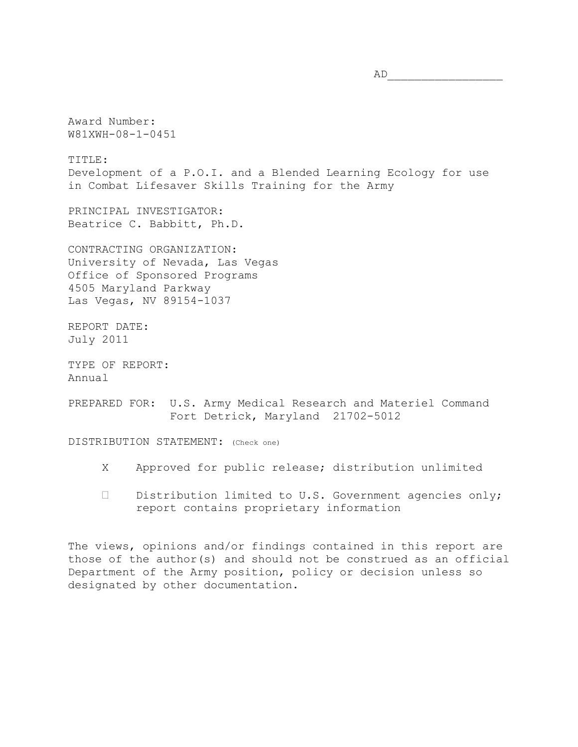Award Number: W81XWH-08-1-0451

TITLE: Development of a P.O.I. and a Blended Learning Ecology for use in Combat Lifesaver Skills Training for the Army

PRINCIPAL INVESTIGATOR: Beatrice C. Babbitt, Ph.D.

CONTRACTING ORGANIZATION: University of Nevada, Las Vegas Office of Sponsored Programs 4505 Maryland Parkway Las Vegas, NV 89154-1037

REPORT DATE: July 2011

TYPE OF REPORT: Annual

PREPARED FOR: U.S. Army Medical Research and Materiel Command Fort Detrick, Maryland 21702-5012

DISTRIBUTION STATEMENT: (Check one)

- X Approved for public release; distribution unlimited
- $\square$  Distribution limited to U.S. Government agencies only; report contains proprietary information

The views, opinions and/or findings contained in this report are those of the author(s) and should not be construed as an official Department of the Army position, policy or decision unless so designated by other documentation.

 $AD$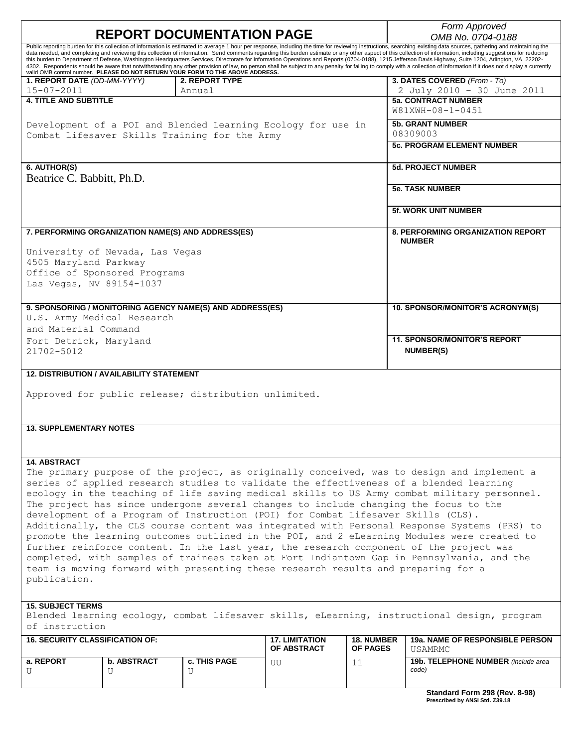| <b>REPORT DOCUMENTATION PAGE</b>                                                                                                                                                                                                                                                                                                                                                                                           |                                                    |                                                                                                  |                       |                         | Form Approved                                                                                                                                                                                                          |  |  |
|----------------------------------------------------------------------------------------------------------------------------------------------------------------------------------------------------------------------------------------------------------------------------------------------------------------------------------------------------------------------------------------------------------------------------|----------------------------------------------------|--------------------------------------------------------------------------------------------------|-----------------------|-------------------------|------------------------------------------------------------------------------------------------------------------------------------------------------------------------------------------------------------------------|--|--|
| Public reporting burden for this collection of information is estimated to average 1 hour per response, including the time for reviewing instructions, searching existing data sources, gathering and maintaining the                                                                                                                                                                                                      |                                                    |                                                                                                  |                       |                         | OMB No. 0704-0188                                                                                                                                                                                                      |  |  |
| data needed, and completing and reviewing this collection of information. Send comments regarding this burden estimate or any other aspect of this collection of information, including suggestions for reducing<br>this burden to Department of Defense, Washington Headquarters Services, Directorate for Information Operations and Reports (0704-0188), 1215 Jefferson Davis Highway, Suite 1204, Arlington, VA 22202- |                                                    |                                                                                                  |                       |                         |                                                                                                                                                                                                                        |  |  |
|                                                                                                                                                                                                                                                                                                                                                                                                                            |                                                    |                                                                                                  |                       |                         | 4302. Respondents should be aware that notwithstanding any other provision of law, no person shall be subject to any penalty for failing to comply with a collection of information if it does not display a currently |  |  |
| 1. REPORT DATE (DD-MM-YYYY)                                                                                                                                                                                                                                                                                                                                                                                                |                                                    | valid OMB control number. PLEASE DO NOT RETURN YOUR FORM TO THE ABOVE ADDRESS.<br>2. REPORT TYPE |                       |                         | 3. DATES COVERED (From - To)                                                                                                                                                                                           |  |  |
| $15 - 07 - 2011$                                                                                                                                                                                                                                                                                                                                                                                                           |                                                    | Annual                                                                                           |                       |                         | 2 July 2010 - 30 June 2011                                                                                                                                                                                             |  |  |
| <b>4. TITLE AND SUBTITLE</b>                                                                                                                                                                                                                                                                                                                                                                                               |                                                    |                                                                                                  |                       |                         | <b>5a. CONTRACT NUMBER</b><br>W81XWH-08-1-0451                                                                                                                                                                         |  |  |
|                                                                                                                                                                                                                                                                                                                                                                                                                            |                                                    |                                                                                                  |                       | <b>5b. GRANT NUMBER</b> |                                                                                                                                                                                                                        |  |  |
| Development of a POI and Blended Learning Ecology for use in<br>Combat Lifesaver Skills Training for the Army                                                                                                                                                                                                                                                                                                              |                                                    |                                                                                                  |                       |                         | 08309003                                                                                                                                                                                                               |  |  |
|                                                                                                                                                                                                                                                                                                                                                                                                                            |                                                    |                                                                                                  |                       |                         | <b>5c. PROGRAM ELEMENT NUMBER</b>                                                                                                                                                                                      |  |  |
| 6. AUTHOR(S)                                                                                                                                                                                                                                                                                                                                                                                                               |                                                    |                                                                                                  |                       |                         | <b>5d. PROJECT NUMBER</b>                                                                                                                                                                                              |  |  |
| Beatrice C. Babbitt, Ph.D.                                                                                                                                                                                                                                                                                                                                                                                                 |                                                    |                                                                                                  |                       |                         |                                                                                                                                                                                                                        |  |  |
|                                                                                                                                                                                                                                                                                                                                                                                                                            |                                                    |                                                                                                  |                       |                         | <b>5e. TASK NUMBER</b>                                                                                                                                                                                                 |  |  |
|                                                                                                                                                                                                                                                                                                                                                                                                                            |                                                    |                                                                                                  |                       |                         |                                                                                                                                                                                                                        |  |  |
|                                                                                                                                                                                                                                                                                                                                                                                                                            |                                                    |                                                                                                  |                       |                         | <b>5f. WORK UNIT NUMBER</b>                                                                                                                                                                                            |  |  |
|                                                                                                                                                                                                                                                                                                                                                                                                                            | 7. PERFORMING ORGANIZATION NAME(S) AND ADDRESS(ES) |                                                                                                  |                       |                         | <b>8. PERFORMING ORGANIZATION REPORT</b><br><b>NUMBER</b>                                                                                                                                                              |  |  |
|                                                                                                                                                                                                                                                                                                                                                                                                                            | University of Nevada, Las Vegas                    |                                                                                                  |                       |                         |                                                                                                                                                                                                                        |  |  |
| 4505 Maryland Parkway                                                                                                                                                                                                                                                                                                                                                                                                      |                                                    |                                                                                                  |                       |                         |                                                                                                                                                                                                                        |  |  |
|                                                                                                                                                                                                                                                                                                                                                                                                                            | Office of Sponsored Programs                       |                                                                                                  |                       |                         |                                                                                                                                                                                                                        |  |  |
| Las Vegas, NV 89154-1037                                                                                                                                                                                                                                                                                                                                                                                                   |                                                    |                                                                                                  |                       |                         |                                                                                                                                                                                                                        |  |  |
|                                                                                                                                                                                                                                                                                                                                                                                                                            |                                                    |                                                                                                  |                       |                         |                                                                                                                                                                                                                        |  |  |
|                                                                                                                                                                                                                                                                                                                                                                                                                            |                                                    | 9. SPONSORING / MONITORING AGENCY NAME(S) AND ADDRESS(ES)                                        |                       |                         | 10. SPONSOR/MONITOR'S ACRONYM(S)                                                                                                                                                                                       |  |  |
| U.S. Army Medical Research                                                                                                                                                                                                                                                                                                                                                                                                 |                                                    |                                                                                                  |                       |                         |                                                                                                                                                                                                                        |  |  |
| and Material Command                                                                                                                                                                                                                                                                                                                                                                                                       |                                                    |                                                                                                  |                       |                         |                                                                                                                                                                                                                        |  |  |
| Fort Detrick, Maryland                                                                                                                                                                                                                                                                                                                                                                                                     |                                                    |                                                                                                  |                       |                         | <b>11. SPONSOR/MONITOR'S REPORT</b>                                                                                                                                                                                    |  |  |
| 21702-5012                                                                                                                                                                                                                                                                                                                                                                                                                 |                                                    |                                                                                                  |                       |                         | <b>NUMBER(S)</b>                                                                                                                                                                                                       |  |  |
|                                                                                                                                                                                                                                                                                                                                                                                                                            |                                                    |                                                                                                  |                       |                         |                                                                                                                                                                                                                        |  |  |
| <b>12. DISTRIBUTION / AVAILABILITY STATEMENT</b>                                                                                                                                                                                                                                                                                                                                                                           |                                                    |                                                                                                  |                       |                         |                                                                                                                                                                                                                        |  |  |
| Approved for public release; distribution unlimited.                                                                                                                                                                                                                                                                                                                                                                       |                                                    |                                                                                                  |                       |                         |                                                                                                                                                                                                                        |  |  |
|                                                                                                                                                                                                                                                                                                                                                                                                                            |                                                    |                                                                                                  |                       |                         |                                                                                                                                                                                                                        |  |  |
|                                                                                                                                                                                                                                                                                                                                                                                                                            |                                                    |                                                                                                  |                       |                         |                                                                                                                                                                                                                        |  |  |
| <b>13. SUPPLEMENTARY NOTES</b>                                                                                                                                                                                                                                                                                                                                                                                             |                                                    |                                                                                                  |                       |                         |                                                                                                                                                                                                                        |  |  |
|                                                                                                                                                                                                                                                                                                                                                                                                                            |                                                    |                                                                                                  |                       |                         |                                                                                                                                                                                                                        |  |  |
|                                                                                                                                                                                                                                                                                                                                                                                                                            |                                                    |                                                                                                  |                       |                         |                                                                                                                                                                                                                        |  |  |
| <b>14. ABSTRACT</b>                                                                                                                                                                                                                                                                                                                                                                                                        |                                                    |                                                                                                  |                       |                         |                                                                                                                                                                                                                        |  |  |
|                                                                                                                                                                                                                                                                                                                                                                                                                            |                                                    |                                                                                                  |                       |                         | The primary purpose of the project, as originally conceived, was to design and implement a                                                                                                                             |  |  |
|                                                                                                                                                                                                                                                                                                                                                                                                                            |                                                    |                                                                                                  |                       |                         | series of applied research studies to validate the effectiveness of a blended learning                                                                                                                                 |  |  |
| ecology in the teaching of life saving medical skills to US Army combat military personnel.                                                                                                                                                                                                                                                                                                                                |                                                    |                                                                                                  |                       |                         |                                                                                                                                                                                                                        |  |  |
| The project has since undergone several changes to include changing the focus to the                                                                                                                                                                                                                                                                                                                                       |                                                    |                                                                                                  |                       |                         |                                                                                                                                                                                                                        |  |  |
| development of a Program of Instruction (POI) for Combat Lifesaver Skills (CLS).<br>Additionally, the CLS course content was integrated with Personal Response Systems (PRS) to                                                                                                                                                                                                                                            |                                                    |                                                                                                  |                       |                         |                                                                                                                                                                                                                        |  |  |
|                                                                                                                                                                                                                                                                                                                                                                                                                            |                                                    |                                                                                                  |                       |                         |                                                                                                                                                                                                                        |  |  |
| promote the learning outcomes outlined in the POI, and 2 eLearning Modules were created to                                                                                                                                                                                                                                                                                                                                 |                                                    |                                                                                                  |                       |                         |                                                                                                                                                                                                                        |  |  |
| further reinforce content. In the last year, the research component of the project was                                                                                                                                                                                                                                                                                                                                     |                                                    |                                                                                                  |                       |                         |                                                                                                                                                                                                                        |  |  |
| completed, with samples of trainees taken at Fort Indiantown Gap in Pennsylvania, and the<br>team is moving forward with presenting these research results and preparing for a                                                                                                                                                                                                                                             |                                                    |                                                                                                  |                       |                         |                                                                                                                                                                                                                        |  |  |
| publication.                                                                                                                                                                                                                                                                                                                                                                                                               |                                                    |                                                                                                  |                       |                         |                                                                                                                                                                                                                        |  |  |
|                                                                                                                                                                                                                                                                                                                                                                                                                            |                                                    |                                                                                                  |                       |                         |                                                                                                                                                                                                                        |  |  |
|                                                                                                                                                                                                                                                                                                                                                                                                                            | <b>15. SUBJECT TERMS</b>                           |                                                                                                  |                       |                         |                                                                                                                                                                                                                        |  |  |
| Blended learning ecology, combat lifesaver skills, eLearning, instructional design, program<br>of instruction                                                                                                                                                                                                                                                                                                              |                                                    |                                                                                                  |                       |                         |                                                                                                                                                                                                                        |  |  |
| <b>16. SECURITY CLASSIFICATION OF:</b>                                                                                                                                                                                                                                                                                                                                                                                     |                                                    |                                                                                                  | <b>17. LIMITATION</b> | <b>18. NUMBER</b>       | <b>19a. NAME OF RESPONSIBLE PERSON</b>                                                                                                                                                                                 |  |  |
|                                                                                                                                                                                                                                                                                                                                                                                                                            |                                                    |                                                                                                  | OF ABSTRACT           | <b>OF PAGES</b>         | <b>USAMRMC</b>                                                                                                                                                                                                         |  |  |
| a. REPORT                                                                                                                                                                                                                                                                                                                                                                                                                  | <b>b. ABSTRACT</b>                                 | c. THIS PAGE                                                                                     | UU                    | 11                      | 19b. TELEPHONE NUMBER (include area<br>code)                                                                                                                                                                           |  |  |
| U                                                                                                                                                                                                                                                                                                                                                                                                                          | U                                                  | U                                                                                                |                       |                         |                                                                                                                                                                                                                        |  |  |

**Standard Form 298 (Rev. 8-98) Prescribed by ANSI Std. Z39.18**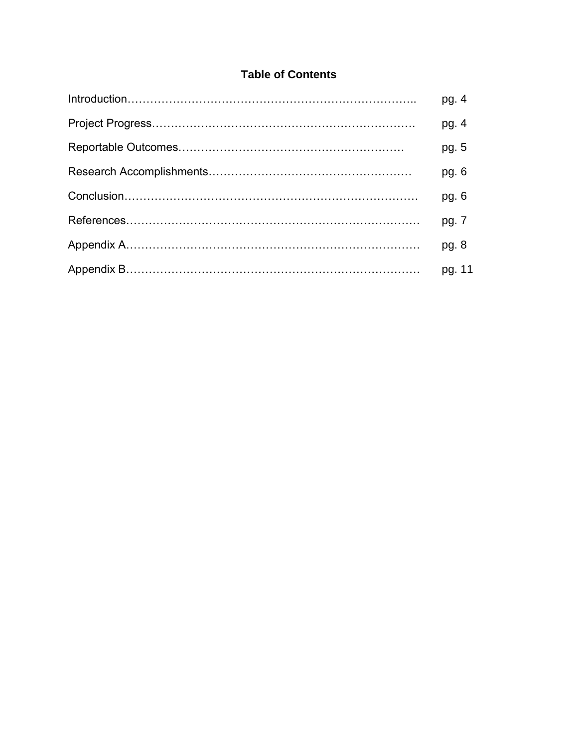# **Table of Contents**

| pg. 4   |
|---------|
| pg. $4$ |
| pg. 5   |
| pg. $6$ |
| pg.6    |
| pg. 7   |
| pg. 8   |
| pg. 11  |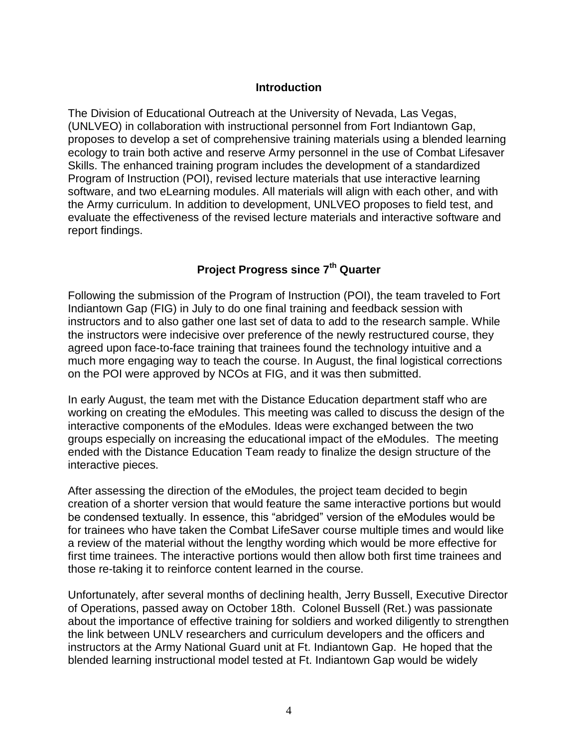#### **Introduction**

The Division of Educational Outreach at the University of Nevada, Las Vegas, (UNLVEO) in collaboration with instructional personnel from Fort Indiantown Gap, proposes to develop a set of comprehensive training materials using a blended learning ecology to train both active and reserve Army personnel in the use of Combat Lifesaver Skills. The enhanced training program includes the development of a standardized Program of Instruction (POI), revised lecture materials that use interactive learning software, and two eLearning modules. All materials will align with each other, and with the Army curriculum. In addition to development, UNLVEO proposes to field test, and evaluate the effectiveness of the revised lecture materials and interactive software and report findings.

# **Project Progress since 7th Quarter**

Following the submission of the Program of Instruction (POI), the team traveled to Fort Indiantown Gap (FIG) in July to do one final training and feedback session with instructors and to also gather one last set of data to add to the research sample. While the instructors were indecisive over preference of the newly restructured course, they agreed upon face-to-face training that trainees found the technology intuitive and a much more engaging way to teach the course. In August, the final logistical corrections on the POI were approved by NCOs at FIG, and it was then submitted.

In early August, the team met with the Distance Education department staff who are working on creating the eModules. This meeting was called to discuss the design of the interactive components of the eModules. Ideas were exchanged between the two groups especially on increasing the educational impact of the eModules. The meeting ended with the Distance Education Team ready to finalize the design structure of the interactive pieces.

After assessing the direction of the eModules, the project team decided to begin creation of a shorter version that would feature the same interactive portions but would be condensed textually. In essence, this "abridged" version of the eModules would be for trainees who have taken the Combat LifeSaver course multiple times and would like a review of the material without the lengthy wording which would be more effective for first time trainees. The interactive portions would then allow both first time trainees and those re-taking it to reinforce content learned in the course.

Unfortunately, after several months of declining health, Jerry Bussell, Executive Director of Operations, passed away on October 18th. Colonel Bussell (Ret.) was passionate about the importance of effective training for soldiers and worked diligently to strengthen the link between UNLV researchers and curriculum developers and the officers and instructors at the Army National Guard unit at Ft. Indiantown Gap. He hoped that the blended learning instructional model tested at Ft. Indiantown Gap would be widely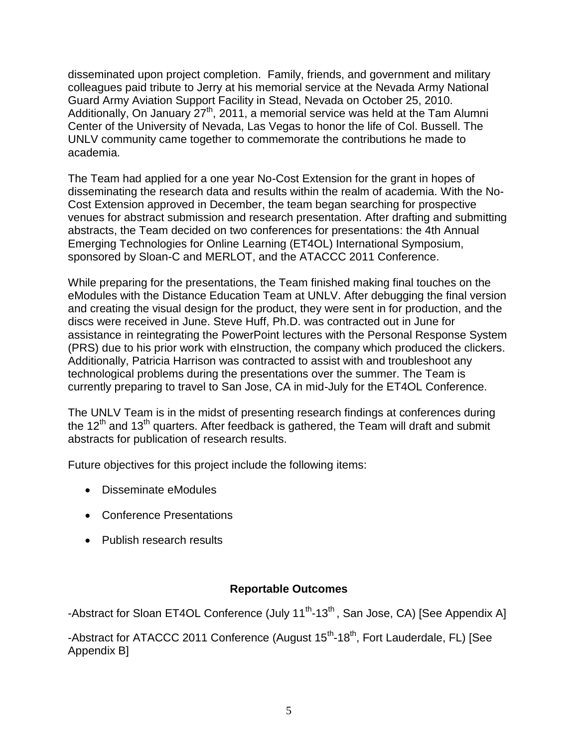disseminated upon project completion. Family, friends, and government and military colleagues paid tribute to Jerry at his memorial service at the Nevada Army National Guard Army Aviation Support Facility in Stead, Nevada on October 25, 2010. Additionally, On January  $27<sup>th</sup>$ , 2011, a memorial service was held at the Tam Alumni Center of the University of Nevada, Las Vegas to honor the life of Col. Bussell. The UNLV community came together to commemorate the contributions he made to academia.

The Team had applied for a one year No-Cost Extension for the grant in hopes of disseminating the research data and results within the realm of academia. With the No-Cost Extension approved in December, the team began searching for prospective venues for abstract submission and research presentation. After drafting and submitting abstracts, the Team decided on two conferences for presentations: the 4th Annual Emerging Technologies for Online Learning (ET4OL) International Symposium, sponsored by Sloan-C and MERLOT, and the ATACCC 2011 Conference.

While preparing for the presentations, the Team finished making final touches on the eModules with the Distance Education Team at UNLV. After debugging the final version and creating the visual design for the product, they were sent in for production, and the discs were received in June. Steve Huff, Ph.D. was contracted out in June for assistance in reintegrating the PowerPoint lectures with the Personal Response System (PRS) due to his prior work with eInstruction, the company which produced the clickers. Additionally, Patricia Harrison was contracted to assist with and troubleshoot any technological problems during the presentations over the summer. The Team is currently preparing to travel to San Jose, CA in mid-July for the ET4OL Conference.

The UNLV Team is in the midst of presenting research findings at conferences during the 12<sup>th</sup> and 13<sup>th</sup> quarters. After feedback is gathered, the Team will draft and submit abstracts for publication of research results.

Future objectives for this project include the following items:

- Disseminate eModules
- Conference Presentations
- Publish research results

## **Reportable Outcomes**

-Abstract for Sloan ET4OL Conference (July 11<sup>th</sup>-13<sup>th</sup>, San Jose, CA) [See Appendix A]

-Abstract for ATACCC 2011 Conference (August 15<sup>th</sup>-18<sup>th</sup>, Fort Lauderdale, FL) [See Appendix B]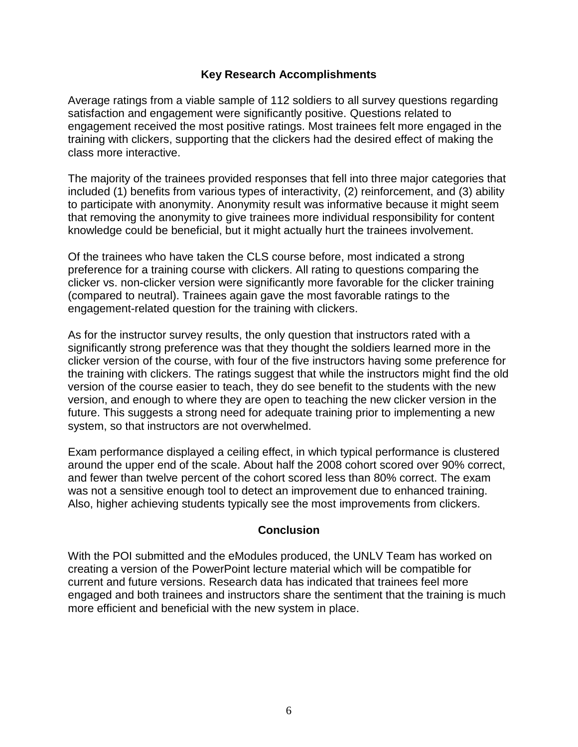#### **Key Research Accomplishments**

Average ratings from a viable sample of 112 soldiers to all survey questions regarding satisfaction and engagement were significantly positive. Questions related to engagement received the most positive ratings. Most trainees felt more engaged in the training with clickers, supporting that the clickers had the desired effect of making the class more interactive.

The majority of the trainees provided responses that fell into three major categories that included (1) benefits from various types of interactivity, (2) reinforcement, and (3) ability to participate with anonymity. Anonymity result was informative because it might seem that removing the anonymity to give trainees more individual responsibility for content knowledge could be beneficial, but it might actually hurt the trainees involvement.

Of the trainees who have taken the CLS course before, most indicated a strong preference for a training course with clickers. All rating to questions comparing the clicker vs. non-clicker version were significantly more favorable for the clicker training (compared to neutral). Trainees again gave the most favorable ratings to the engagement-related question for the training with clickers.

As for the instructor survey results, the only question that instructors rated with a significantly strong preference was that they thought the soldiers learned more in the clicker version of the course, with four of the five instructors having some preference for the training with clickers. The ratings suggest that while the instructors might find the old version of the course easier to teach, they do see benefit to the students with the new version, and enough to where they are open to teaching the new clicker version in the future. This suggests a strong need for adequate training prior to implementing a new system, so that instructors are not overwhelmed.

Exam performance displayed a ceiling effect, in which typical performance is clustered around the upper end of the scale. About half the 2008 cohort scored over 90% correct, and fewer than twelve percent of the cohort scored less than 80% correct. The exam was not a sensitive enough tool to detect an improvement due to enhanced training. Also, higher achieving students typically see the most improvements from clickers.

#### **Conclusion**

With the POI submitted and the eModules produced, the UNLV Team has worked on creating a version of the PowerPoint lecture material which will be compatible for current and future versions. Research data has indicated that trainees feel more engaged and both trainees and instructors share the sentiment that the training is much more efficient and beneficial with the new system in place.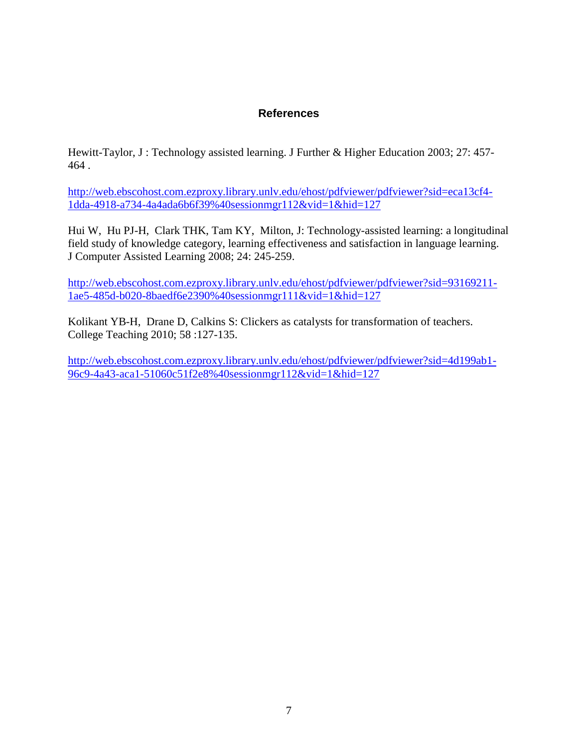### **References**

Hewitt-Taylor, J : Technology assisted learning. J Further & Higher Education 2003; 27: 457- 464 .

[http://web.ebscohost.com.ezproxy.library.unlv.edu/ehost/pdfviewer/pdfviewer?sid=eca13cf4-](http://web.ebscohost.com.ezproxy.library.unlv.edu/ehost/pdfviewer/pdfviewer?sid=eca13cf4-1dda-4918-a734-4a4ada6b6f39%40sessionmgr112&vid=1&hid=127) [1dda-4918-a734-4a4ada6b6f39%40sessionmgr112&vid=1&hid=127](http://web.ebscohost.com.ezproxy.library.unlv.edu/ehost/pdfviewer/pdfviewer?sid=eca13cf4-1dda-4918-a734-4a4ada6b6f39%40sessionmgr112&vid=1&hid=127)

Hui W, Hu PJ-H, Clark THK, Tam KY, Milton, J: Technology-assisted learning: a longitudinal field study of knowledge category, learning effectiveness and satisfaction in language learning. J Computer Assisted Learning 2008; 24: 245-259.

[http://web.ebscohost.com.ezproxy.library.unlv.edu/ehost/pdfviewer/pdfviewer?sid=93169211-](http://web.ebscohost.com.ezproxy.library.unlv.edu/ehost/pdfviewer/pdfviewer?sid=93169211-1ae5-485d-b020-8baedf6e2390%40sessionmgr111&vid=1&hid=127) [1ae5-485d-b020-8baedf6e2390%40sessionmgr111&vid=1&hid=127](http://web.ebscohost.com.ezproxy.library.unlv.edu/ehost/pdfviewer/pdfviewer?sid=93169211-1ae5-485d-b020-8baedf6e2390%40sessionmgr111&vid=1&hid=127)

Kolikant YB-H, Drane D, Calkins S: Clickers as catalysts for transformation of teachers. College Teaching 2010; 58 :127-135.

[http://web.ebscohost.com.ezproxy.library.unlv.edu/ehost/pdfviewer/pdfviewer?sid=4d199ab1-](http://web.ebscohost.com.ezproxy.library.unlv.edu/ehost/pdfviewer/pdfviewer?sid=4d199ab1-96c9-4a43-aca1-51060c51f2e8%40sessionmgr112&vid=1&hid=127) [96c9-4a43-aca1-51060c51f2e8%40sessionmgr112&vid=1&hid=127](http://web.ebscohost.com.ezproxy.library.unlv.edu/ehost/pdfviewer/pdfviewer?sid=4d199ab1-96c9-4a43-aca1-51060c51f2e8%40sessionmgr112&vid=1&hid=127)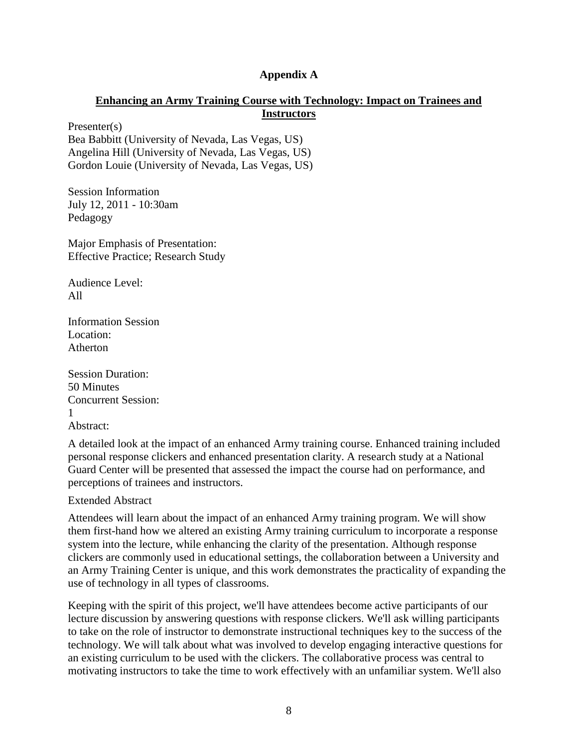#### **Appendix A**

#### **Enhancing an Army Training Course with Technology: Impact on Trainees and Instructors**

Presenter(s) Bea Babbitt (University of Nevada, Las Vegas, US) Angelina Hill (University of Nevada, Las Vegas, US) Gordon Louie (University of Nevada, Las Vegas, US)

Session Information July 12, 2011 - 10:30am Pedagogy

Major Emphasis of Presentation: Effective Practice; Research Study

Audience Level: All

Information Session Location: Atherton

Session Duration: 50 Minutes Concurrent Session: 1 Abstract:

A detailed look at the impact of an enhanced Army training course. Enhanced training included personal response clickers and enhanced presentation clarity. A research study at a National Guard Center will be presented that assessed the impact the course had on performance, and perceptions of trainees and instructors.

Extended Abstract

Attendees will learn about the impact of an enhanced Army training program. We will show them first-hand how we altered an existing Army training curriculum to incorporate a response system into the lecture, while enhancing the clarity of the presentation. Although response clickers are commonly used in educational settings, the collaboration between a University and an Army Training Center is unique, and this work demonstrates the practicality of expanding the use of technology in all types of classrooms.

Keeping with the spirit of this project, we'll have attendees become active participants of our lecture discussion by answering questions with response clickers. We'll ask willing participants to take on the role of instructor to demonstrate instructional techniques key to the success of the technology. We will talk about what was involved to develop engaging interactive questions for an existing curriculum to be used with the clickers. The collaborative process was central to motivating instructors to take the time to work effectively with an unfamiliar system. We'll also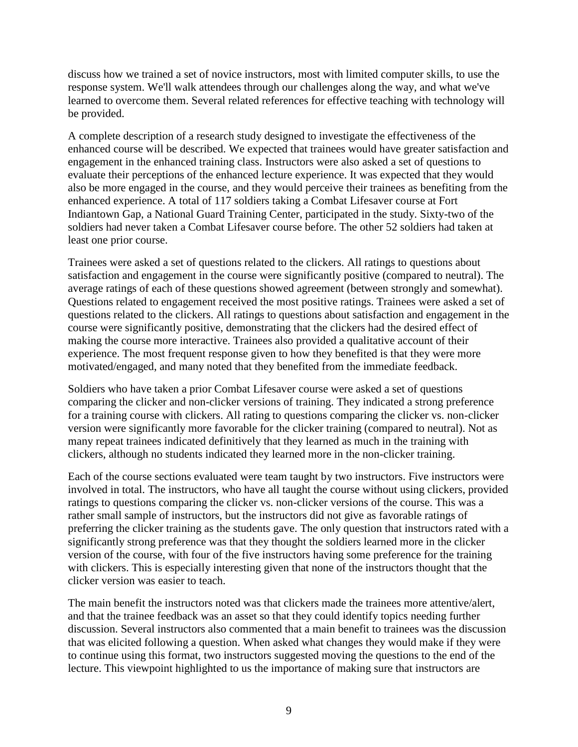discuss how we trained a set of novice instructors, most with limited computer skills, to use the response system. We'll walk attendees through our challenges along the way, and what we've learned to overcome them. Several related references for effective teaching with technology will be provided.

A complete description of a research study designed to investigate the effectiveness of the enhanced course will be described. We expected that trainees would have greater satisfaction and engagement in the enhanced training class. Instructors were also asked a set of questions to evaluate their perceptions of the enhanced lecture experience. It was expected that they would also be more engaged in the course, and they would perceive their trainees as benefiting from the enhanced experience. A total of 117 soldiers taking a Combat Lifesaver course at Fort Indiantown Gap, a National Guard Training Center, participated in the study. Sixty-two of the soldiers had never taken a Combat Lifesaver course before. The other 52 soldiers had taken at least one prior course.

Trainees were asked a set of questions related to the clickers. All ratings to questions about satisfaction and engagement in the course were significantly positive (compared to neutral). The average ratings of each of these questions showed agreement (between strongly and somewhat). Questions related to engagement received the most positive ratings. Trainees were asked a set of questions related to the clickers. All ratings to questions about satisfaction and engagement in the course were significantly positive, demonstrating that the clickers had the desired effect of making the course more interactive. Trainees also provided a qualitative account of their experience. The most frequent response given to how they benefited is that they were more motivated/engaged, and many noted that they benefited from the immediate feedback.

Soldiers who have taken a prior Combat Lifesaver course were asked a set of questions comparing the clicker and non-clicker versions of training. They indicated a strong preference for a training course with clickers. All rating to questions comparing the clicker vs. non-clicker version were significantly more favorable for the clicker training (compared to neutral). Not as many repeat trainees indicated definitively that they learned as much in the training with clickers, although no students indicated they learned more in the non-clicker training.

Each of the course sections evaluated were team taught by two instructors. Five instructors were involved in total. The instructors, who have all taught the course without using clickers, provided ratings to questions comparing the clicker vs. non-clicker versions of the course. This was a rather small sample of instructors, but the instructors did not give as favorable ratings of preferring the clicker training as the students gave. The only question that instructors rated with a significantly strong preference was that they thought the soldiers learned more in the clicker version of the course, with four of the five instructors having some preference for the training with clickers. This is especially interesting given that none of the instructors thought that the clicker version was easier to teach.

The main benefit the instructors noted was that clickers made the trainees more attentive/alert, and that the trainee feedback was an asset so that they could identify topics needing further discussion. Several instructors also commented that a main benefit to trainees was the discussion that was elicited following a question. When asked what changes they would make if they were to continue using this format, two instructors suggested moving the questions to the end of the lecture. This viewpoint highlighted to us the importance of making sure that instructors are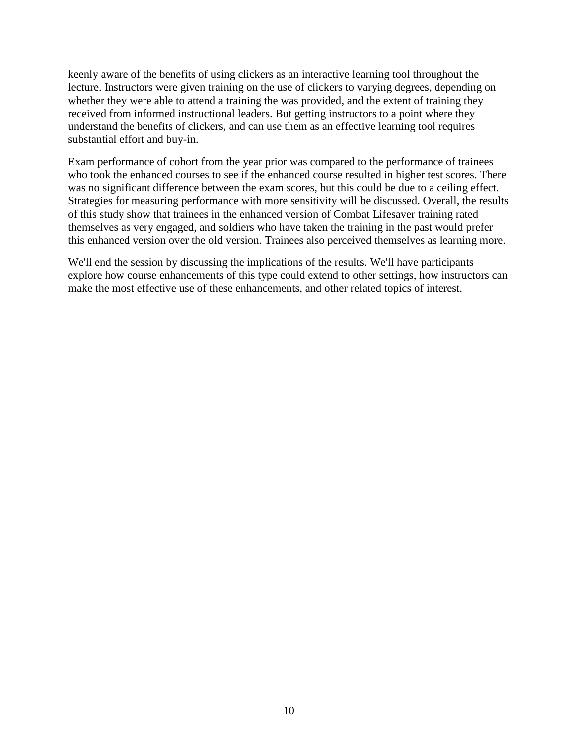keenly aware of the benefits of using clickers as an interactive learning tool throughout the lecture. Instructors were given training on the use of clickers to varying degrees, depending on whether they were able to attend a training the was provided, and the extent of training they received from informed instructional leaders. But getting instructors to a point where they understand the benefits of clickers, and can use them as an effective learning tool requires substantial effort and buy-in.

Exam performance of cohort from the year prior was compared to the performance of trainees who took the enhanced courses to see if the enhanced course resulted in higher test scores. There was no significant difference between the exam scores, but this could be due to a ceiling effect. Strategies for measuring performance with more sensitivity will be discussed. Overall, the results of this study show that trainees in the enhanced version of Combat Lifesaver training rated themselves as very engaged, and soldiers who have taken the training in the past would prefer this enhanced version over the old version. Trainees also perceived themselves as learning more.

We'll end the session by discussing the implications of the results. We'll have participants explore how course enhancements of this type could extend to other settings, how instructors can make the most effective use of these enhancements, and other related topics of interest.